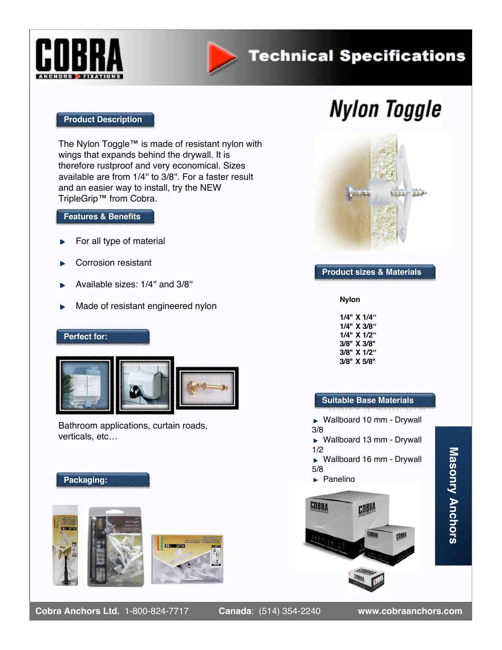



## **Technical Specifications**

#### **Product Description**

The Nylon Toggle™ is made of resistant nylon with wings that expands behind the drywall. It is therefore rustproof and very economical. Sizes available are from 1/4'' to 3/8''. For a faster result and an easier way to install, try the NEW TripleGrip™ from Cobra.

#### **Features & Benefits**

- For all type of material
- Corrosion resistant
- Available sizes: 1/4'' and 3/8''
- Made of resistant engineered nylon

#### **Perfect for:**



Bathroom applications, curtain roads, verticals, etc…

#### **Packaging:**





# **Nylon Toggle**



#### **Product sizes & Materials**

**Nylon**

**1/4" X 1/4" 1/4" X 3/8" 1/4" X 1/2" 3/8" X 3/8" 3/8" X 1/2" 3/8" X 5/8"**

#### **Suitable Base Materials**

► Wallboard 10 mm - Drywall 3/8

► Wallboard 13 mm - Drywall 1/2

► Wallboard 16 mm - Drywall 5/8

 $\blacktriangleright$  Paneling

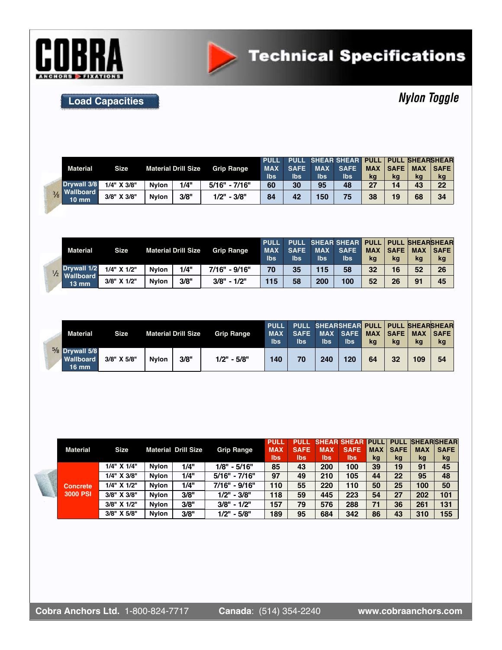



**Load Capacities**

## **Nylon Toggle**

|  | <b>Material</b>                  | <b>Size</b> | <b>Material Drill Size</b> |      | <b>Grip Range</b> | <b>PULL</b> |             |            | PULL SHEAR SHEAR PULL PULL SHEARSHEAR |            |             |            |             |
|--|----------------------------------|-------------|----------------------------|------|-------------------|-------------|-------------|------------|---------------------------------------|------------|-------------|------------|-------------|
|  |                                  |             |                            |      |                   | <b>MAX</b>  | <b>SAFE</b> | <b>MAX</b> | <b>SAFE</b>                           | <b>MAX</b> | <b>SAFE</b> | <b>MAX</b> | <b>SAFE</b> |
|  |                                  |             |                            |      |                   | Ibs         | Ibs         | lbs        | Ibs                                   | kg         | kg          | kg         | kg          |
|  | Drvwall 3/8                      | 1/4" X 3/8" | <b>Nvlon</b>               | 1/4" | $5/16" - 7/16"$   | 60          | 30          | 95         | 48                                    | 27         | 14          | 43         | 22          |
|  | 3/8 Wallboard<br>$10 \text{ mm}$ | 3/8" X 3/8" | <b>Nvlon</b>               | 3/8" | $1/2" - 3/8"$     | 84          | 42          | 150        | 75                                    | 38         | 19          | 68         | 34          |

|  | <b>Material</b>                        | <b>Size</b> |              | <b>Material Drill Size</b> | <b>Grip Range</b> | <b>PULL</b><br><b>MAX</b><br>Ibs | <b>SAFE</b><br>lbs | <b>MAX</b><br>Ibs | PULL SHEAR SHEAR<br><b>SAFE</b><br>lbs | <b>PULL</b><br><b>MAX</b><br>kq | <b>SAFE</b><br>kg | <b>PULL SHEARSHEAR</b><br><b>MAX</b><br>kg | <b>SAFE</b><br>kg |
|--|----------------------------------------|-------------|--------------|----------------------------|-------------------|----------------------------------|--------------------|-------------------|----------------------------------------|---------------------------------|-------------------|--------------------------------------------|-------------------|
|  | Drywall 1/2<br>$\frac{1}{2}$ Wallboard | 1/4" X 1/2" | <b>Nvlon</b> | 1/4"                       | 7/16" - 9/16"     | 70                               | 35                 | 115               | 58                                     | 32                              | 16                | 52                                         | 26                |
|  | $13 \text{ mm}$                        | 3/8" X 1/2" | <b>Nvlon</b> | 3/8"                       | $3/8" - 1/2"$     | 115                              | 58                 | 200               | 100                                    | 52                              | 26                | 91                                         | 45                |

|  | Material                                         | <b>Size</b> |              | <b>Material Drill Size</b> | <b>Grip Range</b> | <b>PULL</b><br><b>MAX</b><br><b>Ibs</b> | PULL SHEARSHEAR PULL PULL SHEARSHEAR<br><b>SAFE</b><br><b>lbs</b> | <b>lbs</b> | MAX SAFE<br><b>lbs</b> | <b>MAX</b><br>kq | $ S_{\mathsf{AFE}} $<br>kq | <b>MAX</b><br>kg | <b>SAFE</b><br>kg |
|--|--------------------------------------------------|-------------|--------------|----------------------------|-------------------|-----------------------------------------|-------------------------------------------------------------------|------------|------------------------|------------------|----------------------------|------------------|-------------------|
|  | $5/8$ Drywall 5/8<br><b>Wallboard</b><br>$16$ mm | 3/8" X 5/8" | <b>Nvlon</b> | 3/8"                       | $1/2" - 5/8"$     | 140                                     | 70                                                                | 240        | 120                    | 64               | 32                         | 109              | 54                |

|  | <b>Material</b> | <b>Size</b> |              | <b>Material Drill Size</b> | <b>Grip Range</b> | <b>PULL</b><br><b>MAX</b><br><b>Ibs</b> | <b>PULL</b><br><b>SAFE</b><br><b>Ibs</b> | <b>MAX</b><br><b>lbs</b> | <b>SHEAR SHEAR PULL</b><br><b>SAFE</b><br>lbs | <b>MAX</b><br>kg | <b>SAFE</b><br>kg | <b>MAX</b><br>kg | <b>PULL SHEARSHEAR</b><br><b>SAFE</b><br>kg |
|--|-----------------|-------------|--------------|----------------------------|-------------------|-----------------------------------------|------------------------------------------|--------------------------|-----------------------------------------------|------------------|-------------------|------------------|---------------------------------------------|
|  |                 | 1/4" X 1/4" | <b>Nvlon</b> | 1/4"                       | $1/8" - 5/16"$    | 85                                      | 43                                       | 200                      | 100                                           | 39               | 19                | 91               | 45                                          |
|  |                 | 1/4" X 3/8" | <b>Nvlon</b> | 1/4"                       | 5/16" - 7/16"     | 97                                      | 49                                       | 210                      | 105                                           | 44               | 22                | 95               | 48                                          |
|  | <b>Concrete</b> | 1/4" X 1/2" | <b>Nylon</b> | 1/4"                       | 7/16" - 9/16"     | 110                                     | 55                                       | 220                      | 110                                           | 50               | 25                | 100              | 50                                          |
|  | 3000 PSI        | 3/8" X 3/8" | <b>Nylon</b> | 3/8"                       | $1/2" - 3/8"$     | 118                                     | 59                                       | 445                      | 223                                           | 54               | 27                | 202              | 101                                         |
|  |                 | 3/8" X 1/2" | <b>Nvlon</b> | 3/8"                       | $3/8" - 1/2"$     | 157                                     | 79                                       | 576                      | 288                                           | 71               | 36                | 261              | 131                                         |
|  |                 | 3/8" X 5/8" | <b>Nylon</b> | 3/8"                       | $1/2" - 5/8"$     | 189                                     | 95                                       | 684                      | 342                                           | 86               | 43                | 310              | 155                                         |